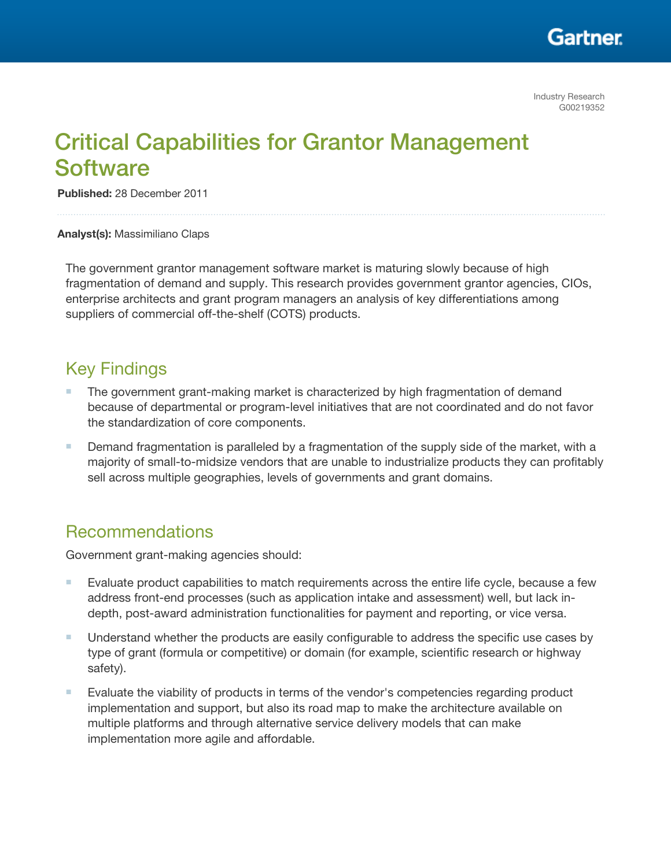

# Critical Capabilities for Grantor Management **Software**

Published: 28 December 2011

Analyst(s): Massimiliano Claps

The government grantor management software market is maturing slowly because of high fragmentation of demand and supply. This research provides government grantor agencies, CIOs, enterprise architects and grant program managers an analysis of key differentiations among suppliers of commercial off-the-shelf (COTS) products.

## Key Findings

- The government grant-making market is characterized by high fragmentation of demand because of departmental or program-level initiatives that are not coordinated and do not favor the standardization of core components.
- Demand fragmentation is paralleled by a fragmentation of the supply side of the market, with a majority of small-to-midsize vendors that are unable to industrialize products they can profitably sell across multiple geographies, levels of governments and grant domains.

## Recommendations

Government grant-making agencies should:

- Evaluate product capabilities to match requirements across the entire life cycle, because a few address front-end processes (such as application intake and assessment) well, but lack indepth, post-award administration functionalities for payment and reporting, or vice versa.
- Understand whether the products are easily configurable to address the specific use cases by type of grant (formula or competitive) or domain (for example, scientific research or highway safety).
- Evaluate the viability of products in terms of the vendor's competencies regarding product implementation and support, but also its road map to make the architecture available on multiple platforms and through alternative service delivery models that can make implementation more agile and affordable.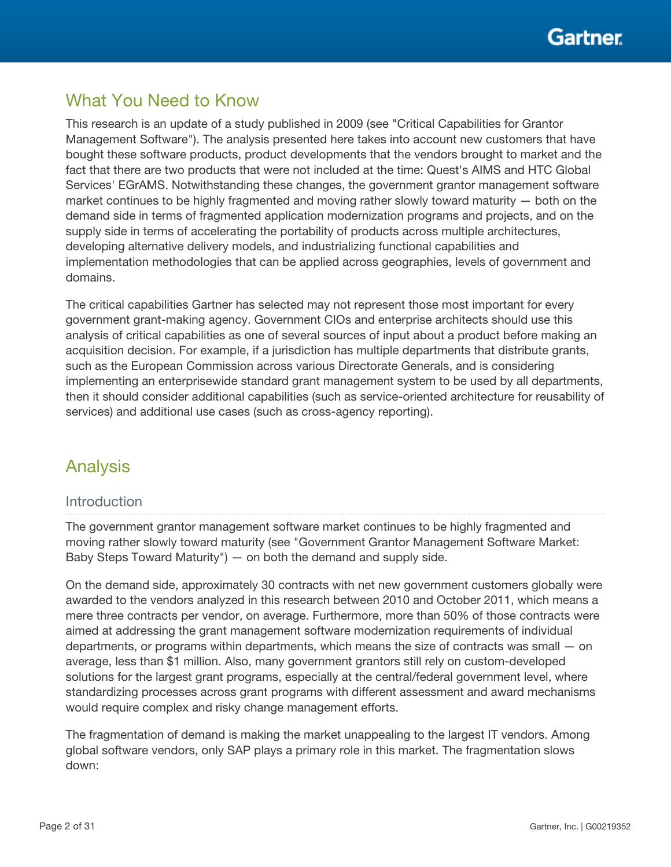

## What You Need to Know

This research is an update of a study published in 2009 (see "Critical Capabilities for Grantor Management Software"). The analysis presented here takes into account new customers that have bought these software products, product developments that the vendors brought to market and the fact that there are two products that were not included at the time: Quest's AIMS and HTC Global Services' EGrAMS. Notwithstanding these changes, the government grantor management software market continues to be highly fragmented and moving rather slowly toward maturity — both on the demand side in terms of fragmented application modernization programs and projects, and on the supply side in terms of accelerating the portability of products across multiple architectures, developing alternative delivery models, and industrializing functional capabilities and implementation methodologies that can be applied across geographies, levels of government and domains.

The critical capabilities Gartner has selected may not represent those most important for every government grant-making agency. Government CIOs and enterprise architects should use this analysis of critical capabilities as one of several sources of input about a product before making an acquisition decision. For example, if a jurisdiction has multiple departments that distribute grants, such as the European Commission across various Directorate Generals, and is considering implementing an enterprisewide standard grant management system to be used by all departments, then it should consider additional capabilities (such as service-oriented architecture for reusability of services) and additional use cases (such as cross-agency reporting).

## Analysis

#### **Introduction**

The government grantor management software market continues to be highly fragmented and moving rather slowly toward maturity (see "Government Grantor Management Software Market: Baby Steps Toward Maturity") — on both the demand and supply side.

On the demand side, approximately 30 contracts with net new government customers globally were awarded to the vendors analyzed in this research between 2010 and October 2011, which means a mere three contracts per vendor, on average. Furthermore, more than 50% of those contracts were aimed at addressing the grant management software modernization requirements of individual departments, or programs within departments, which means the size of contracts was small — on average, less than \$1 million. Also, many government grantors still rely on custom-developed solutions for the largest grant programs, especially at the central/federal government level, where standardizing processes across grant programs with different assessment and award mechanisms would require complex and risky change management efforts.

The fragmentation of demand is making the market unappealing to the largest IT vendors. Among global software vendors, only SAP plays a primary role in this market. The fragmentation slows down: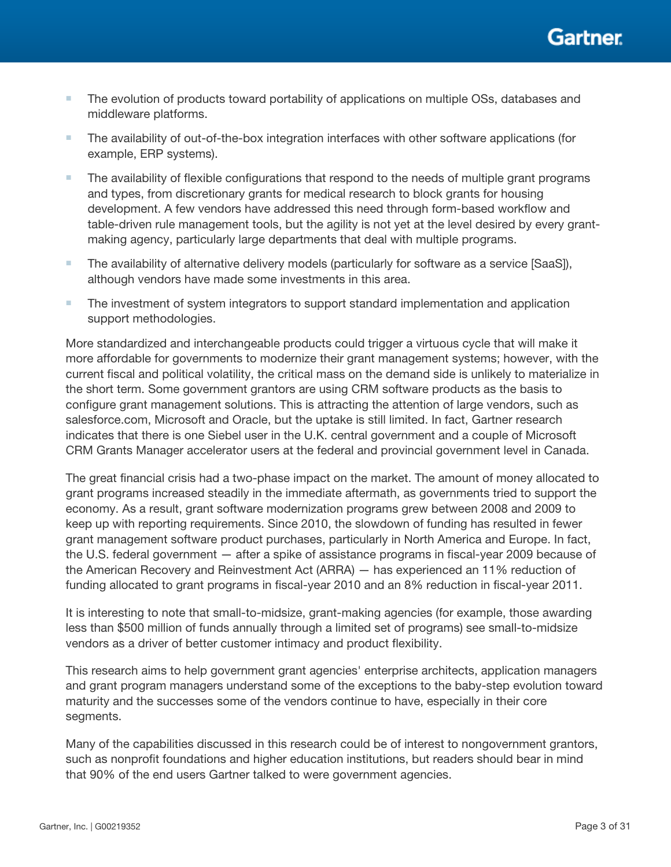

- The evolution of products toward portability of applications on multiple OSs, databases and middleware platforms.
- The availability of out-of-the-box integration interfaces with other software applications (for example, ERP systems).
- The availability of flexible configurations that respond to the needs of multiple grant programs and types, from discretionary grants for medical research to block grants for housing development. A few vendors have addressed this need through form-based workflow and table-driven rule management tools, but the agility is not yet at the level desired by every grantmaking agency, particularly large departments that deal with multiple programs.
- The availability of alternative delivery models (particularly for software as a service [SaaS]), although vendors have made some investments in this area.
- The investment of system integrators to support standard implementation and application support methodologies.

More standardized and interchangeable products could trigger a virtuous cycle that will make it more affordable for governments to modernize their grant management systems; however, with the current fiscal and political volatility, the critical mass on the demand side is unlikely to materialize in the short term. Some government grantors are using CRM software products as the basis to configure grant management solutions. This is attracting the attention of large vendors, such as salesforce.com, Microsoft and Oracle, but the uptake is still limited. In fact, Gartner research indicates that there is one Siebel user in the U.K. central government and a couple of Microsoft CRM Grants Manager accelerator users at the federal and provincial government level in Canada.

The great financial crisis had a two-phase impact on the market. The amount of money allocated to grant programs increased steadily in the immediate aftermath, as governments tried to support the economy. As a result, grant software modernization programs grew between 2008 and 2009 to keep up with reporting requirements. Since 2010, the slowdown of funding has resulted in fewer grant management software product purchases, particularly in North America and Europe. In fact, the U.S. federal government — after a spike of assistance programs in fiscal-year 2009 because of the American Recovery and Reinvestment Act (ARRA) — has experienced an 11% reduction of funding allocated to grant programs in fiscal-year 2010 and an 8% reduction in fiscal-year 2011.

It is interesting to note that small-to-midsize, grant-making agencies (for example, those awarding less than \$500 million of funds annually through a limited set of programs) see small-to-midsize vendors as a driver of better customer intimacy and product flexibility.

This research aims to help government grant agencies' enterprise architects, application managers and grant program managers understand some of the exceptions to the baby-step evolution toward maturity and the successes some of the vendors continue to have, especially in their core segments.

Many of the capabilities discussed in this research could be of interest to nongovernment grantors, such as nonprofit foundations and higher education institutions, but readers should bear in mind that 90% of the end users Gartner talked to were government agencies.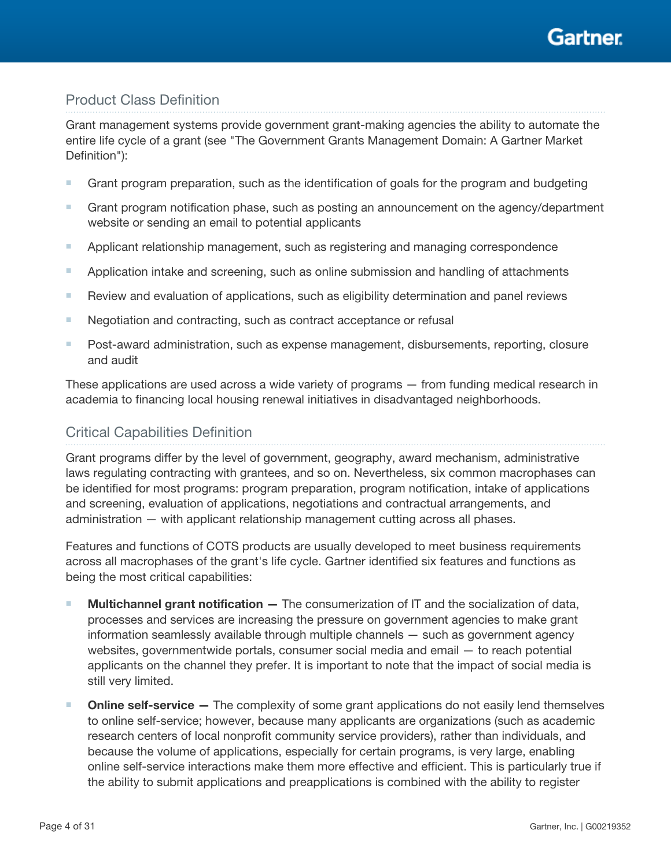# Gartner

### Product Class Definition

Grant management systems provide government grant-making agencies the ability to automate the entire life cycle of a grant (see "The Government Grants Management Domain: A Gartner Market Definition"):

- Grant program preparation, such as the identification of goals for the program and budgeting
- Grant program notification phase, such as posting an announcement on the agency/department website or sending an email to potential applicants
- Applicant relationship management, such as registering and managing correspondence
- Application intake and screening, such as online submission and handling of attachments
- Review and evaluation of applications, such as eligibility determination and panel reviews
- Negotiation and contracting, such as contract acceptance or refusal
- Post-award administration, such as expense management, disbursements, reporting, closure and audit

These applications are used across a wide variety of programs — from funding medical research in academia to financing local housing renewal initiatives in disadvantaged neighborhoods.

### Critical Capabilities Definition

Grant programs differ by the level of government, geography, award mechanism, administrative laws regulating contracting with grantees, and so on. Nevertheless, six common macrophases can be identified for most programs: program preparation, program notification, intake of applications and screening, evaluation of applications, negotiations and contractual arrangements, and administration — with applicant relationship management cutting across all phases.

Features and functions of COTS products are usually developed to meet business requirements across all macrophases of the grant's life cycle. Gartner identified six features and functions as being the most critical capabilities:

- $\blacksquare$  Multichannel grant notification  $\blacksquare$  The consumerization of IT and the socialization of data, processes and services are increasing the pressure on government agencies to make grant information seamlessly available through multiple channels — such as government agency websites, governmentwide portals, consumer social media and email — to reach potential applicants on the channel they prefer. It is important to note that the impact of social media is still very limited.
- Online self-service The complexity of some grant applications do not easily lend themselves to online self-service; however, because many applicants are organizations (such as academic research centers of local nonprofit community service providers), rather than individuals, and because the volume of applications, especially for certain programs, is very large, enabling online self-service interactions make them more effective and efficient. This is particularly true if the ability to submit applications and preapplications is combined with the ability to register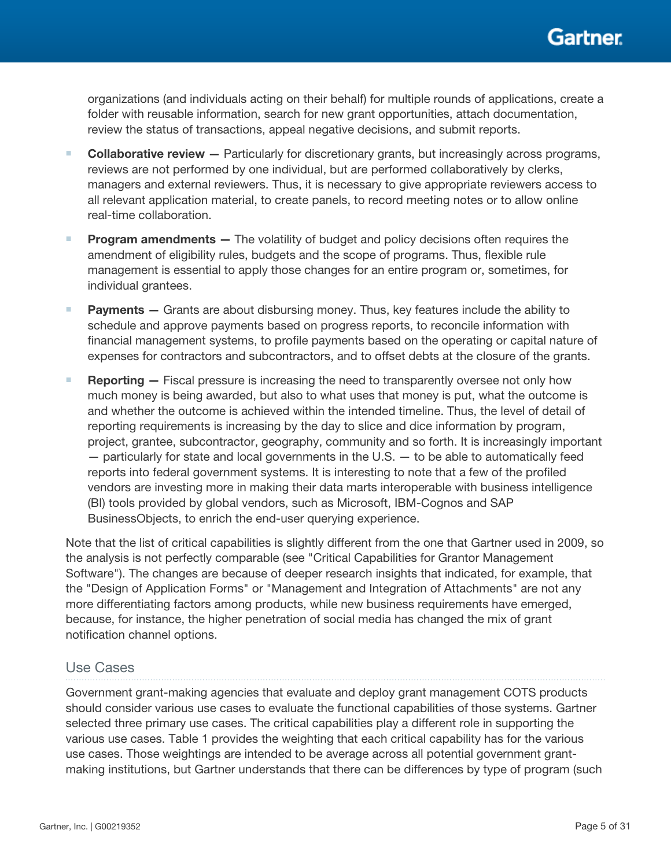

organizations (and individuals acting on their behalf) for multiple rounds of applications, create a folder with reusable information, search for new grant opportunities, attach documentation, review the status of transactions, appeal negative decisions, and submit reports.

- Collaborative review Particularly for discretionary grants, but increasingly across programs, reviews are not performed by one individual, but are performed collaboratively by clerks, managers and external reviewers. Thus, it is necessary to give appropriate reviewers access to all relevant application material, to create panels, to record meeting notes or to allow online real-time collaboration.
- Program amendments The volatility of budget and policy decisions often requires the amendment of eligibility rules, budgets and the scope of programs. Thus, flexible rule management is essential to apply those changes for an entire program or, sometimes, for individual grantees.
- Payments Grants are about disbursing money. Thus, key features include the ability to schedule and approve payments based on progress reports, to reconcile information with financial management systems, to profile payments based on the operating or capital nature of expenses for contractors and subcontractors, and to offset debts at the closure of the grants.
- **Reporting**  $-$  Fiscal pressure is increasing the need to transparently oversee not only how much money is being awarded, but also to what uses that money is put, what the outcome is and whether the outcome is achieved within the intended timeline. Thus, the level of detail of reporting requirements is increasing by the day to slice and dice information by program, project, grantee, subcontractor, geography, community and so forth. It is increasingly important — particularly for state and local governments in the U.S. — to be able to automatically feed reports into federal government systems. It is interesting to note that a few of the profiled vendors are investing more in making their data marts interoperable with business intelligence (BI) tools provided by global vendors, such as Microsoft, IBM-Cognos and SAP BusinessObjects, to enrich the end-user querying experience.

Note that the list of critical capabilities is slightly different from the one that Gartner used in 2009, so the analysis is not perfectly comparable (see "Critical Capabilities for Grantor Management Software"). The changes are because of deeper research insights that indicated, for example, that the "Design of Application Forms" or "Management and Integration of Attachments" are not any more differentiating factors among products, while new business requirements have emerged, because, for instance, the higher penetration of social media has changed the mix of grant notification channel options.

#### Use Cases

Government grant-making agencies that evaluate and deploy grant management COTS products should consider various use cases to evaluate the functional capabilities of those systems. Gartner selected three primary use cases. The critical capabilities play a different role in supporting the various use cases. Table 1 provides the weighting that each critical capability has for the various use cases. Those weightings are intended to be average across all potential government grantmaking institutions, but Gartner understands that there can be differences by type of program (such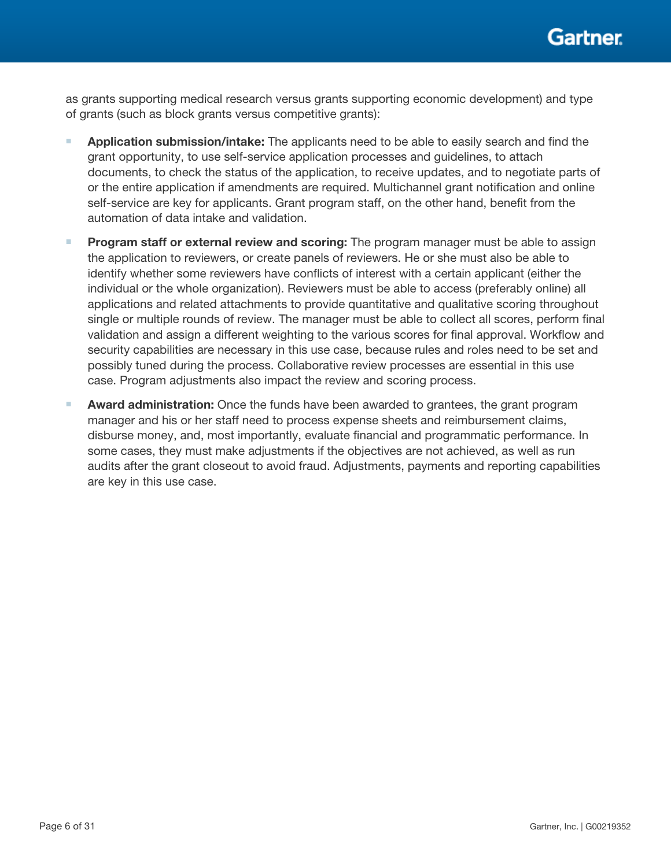as grants supporting medical research versus grants supporting economic development) and type of grants (such as block grants versus competitive grants):

- **■** Application submission/intake: The applicants need to be able to easily search and find the grant opportunity, to use self-service application processes and guidelines, to attach documents, to check the status of the application, to receive updates, and to negotiate parts of or the entire application if amendments are required. Multichannel grant notification and online self-service are key for applicants. Grant program staff, on the other hand, benefit from the automation of data intake and validation.
- **Program staff or external review and scoring:** The program manager must be able to assign the application to reviewers, or create panels of reviewers. He or she must also be able to identify whether some reviewers have conflicts of interest with a certain applicant (either the individual or the whole organization). Reviewers must be able to access (preferably online) all applications and related attachments to provide quantitative and qualitative scoring throughout single or multiple rounds of review. The manager must be able to collect all scores, perform final validation and assign a different weighting to the various scores for final approval. Workflow and security capabilities are necessary in this use case, because rules and roles need to be set and possibly tuned during the process. Collaborative review processes are essential in this use case. Program adjustments also impact the review and scoring process.
- Award administration: Once the funds have been awarded to grantees, the grant program manager and his or her staff need to process expense sheets and reimbursement claims, disburse money, and, most importantly, evaluate financial and programmatic performance. In some cases, they must make adjustments if the objectives are not achieved, as well as run audits after the grant closeout to avoid fraud. Adjustments, payments and reporting capabilities are key in this use case.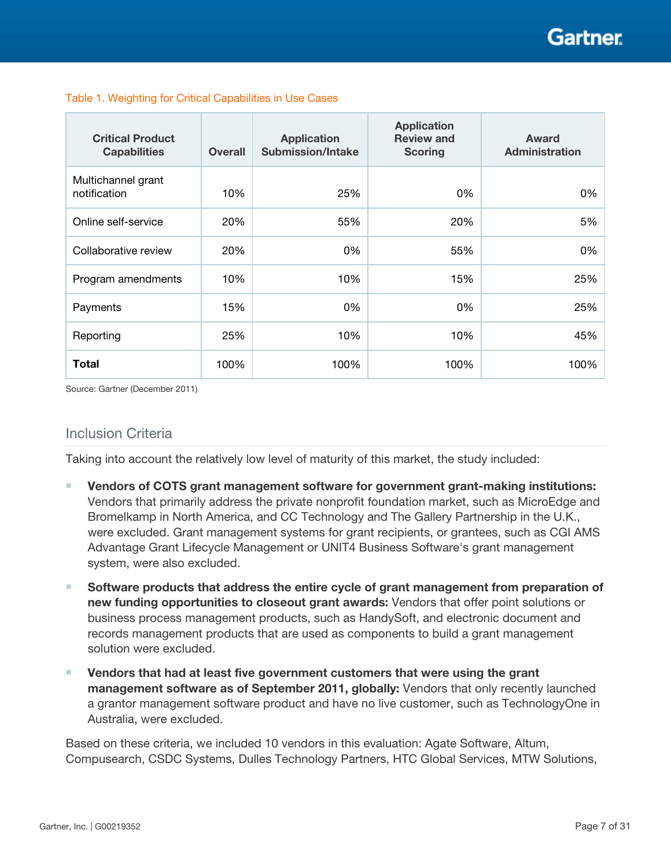# Gartner

| <b>Critical Product</b><br><b>Capabilities</b> | <b>Overall</b> | <b>Application</b><br><b>Submission/Intake</b> | <b>Application</b><br><b>Review and</b><br><b>Scoring</b> | Award<br><b>Administration</b> |  |  |
|------------------------------------------------|----------------|------------------------------------------------|-----------------------------------------------------------|--------------------------------|--|--|
| Multichannel grant<br>notification             | 10%            | 25%                                            | 0%                                                        | 0%                             |  |  |
| Online self-service                            | 20%            | 55%                                            | 20%                                                       | 5%                             |  |  |
| Collaborative review                           | 20%            | 0%                                             | 55%                                                       | 0%                             |  |  |
| Program amendments                             | 10%            | 10%                                            | 15%                                                       | 25%                            |  |  |
| Payments                                       | 15%            | 0%                                             | 0%                                                        | 25%                            |  |  |
| Reporting                                      | 25%            | 10%                                            | 10%                                                       | 45%                            |  |  |
| <b>Total</b>                                   | 100%           | 100%                                           | 100%                                                      | 100%                           |  |  |

#### Table 1. Weighting for Critical Capabilities in Use Cases

Source: Gartner (December 2011)

### Inclusion Criteria

Taking into account the relatively low level of maturity of this market, the study included:

- Vendors of COTS grant management software for government grant-making institutions: Vendors that primarily address the private nonprofit foundation market, such as MicroEdge and Bromelkamp in North America, and CC Technology and The Gallery Partnership in the U.K., were excluded. Grant management systems for grant recipients, or grantees, such as CGI AMS Advantage Grant Lifecycle Management or UNIT4 Business Software's grant management system, were also excluded.
- Software products that address the entire cycle of grant management from preparation of new funding opportunities to closeout grant awards: Vendors that offer point solutions or business process management products, such as HandySoft, and electronic document and records management products that are used as components to build a grant management solution were excluded.
- Vendors that had at least five government customers that were using the grant management software as of September 2011, globally: Vendors that only recently launched a grantor management software product and have no live customer, such as TechnologyOne in Australia, were excluded.

Based on these criteria, we included 10 vendors in this evaluation: Agate Software, Altum, Compusearch, CSDC Systems, Dulles Technology Partners, HTC Global Services, MTW Solutions,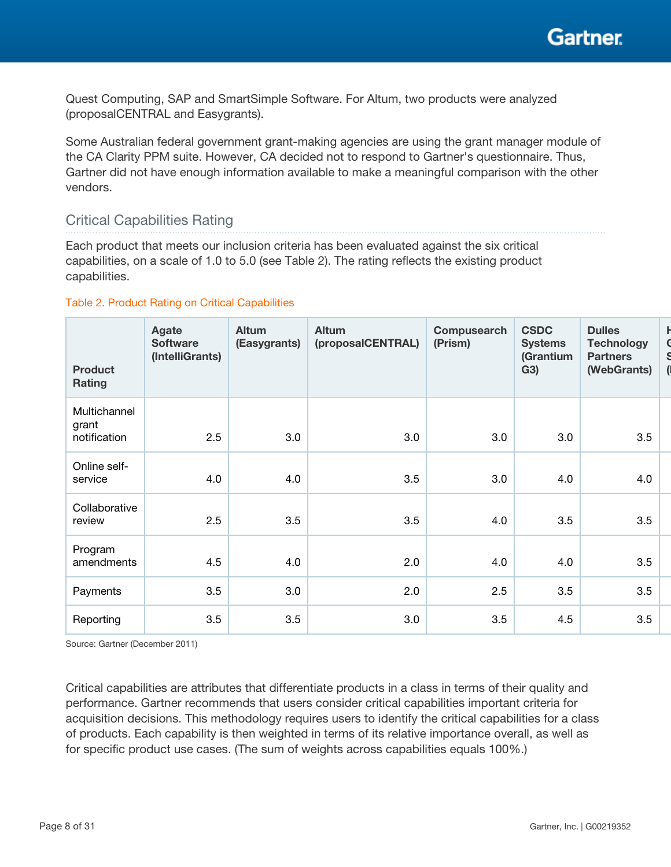Quest Computing, SAP and SmartSimple Software. For Altum, two products were analyzed (proposalCENTRAL and Easygrants).

Some Australian federal government grant-making agencies are using the grant manager module of the CA Clarity PPM suite. However, CA decided not to respond to Gartner's questionnaire. Thus, Gartner did not have enough information available to make a meaningful comparison with the other vendors.

### Critical Capabilities Rating

Each product that meets our inclusion criteria has been evaluated against the six critical capabilities, on a scale of 1.0 to 5.0 (see Table 2). The rating reflects the existing product capabilities.

#### Table 2. Product Rating on Critical Capabilities

| <b>Product</b><br>Rating              | Agate<br><b>Software</b><br>(IntelliGrants) | <b>Altum</b><br>(Easygrants) | Altum<br>(proposalCENTRAL) | Compusearch<br>(Prism) | <b>CSDC</b><br><b>Systems</b><br>(Grantium<br>G3) | <b>Dulles</b><br><b>Technology</b><br><b>Partners</b><br>(WebGrants) |  |
|---------------------------------------|---------------------------------------------|------------------------------|----------------------------|------------------------|---------------------------------------------------|----------------------------------------------------------------------|--|
| Multichannel<br>grant<br>notification | 2.5                                         | 3.0                          | 3.0                        | 3.0                    | 3.0                                               | 3.5                                                                  |  |
| Online self-<br>service               | 4.0                                         | 4.0                          | 3.5                        | 3.0                    | 4.0                                               | 4.0                                                                  |  |
| Collaborative<br>review               | 2.5                                         | 3.5                          | 3.5                        | 4.0                    | 3.5                                               | 3.5                                                                  |  |
| Program<br>amendments                 | 4.5                                         | 4.0                          | 2.0                        | 4.0                    | 4.0                                               | 3.5                                                                  |  |
| Payments                              | 3.5                                         | 3.0                          | 2.0                        | 2.5                    | 3.5                                               | 3.5                                                                  |  |
| Reporting                             | 3.5                                         | 3.5                          | 3.0                        | 3.5                    | 4.5                                               | 3.5                                                                  |  |

Source: Gartner (December 2011)

Critical capabilities are attributes that differentiate products in a class in terms of their quality and performance. Gartner recommends that users consider critical capabilities important criteria for acquisition decisions. This methodology requires users to identify the critical capabilities for a class of products. Each capability is then weighted in terms of its relative importance overall, as well as for specific product use cases. (The sum of weights across capabilities equals 100%.)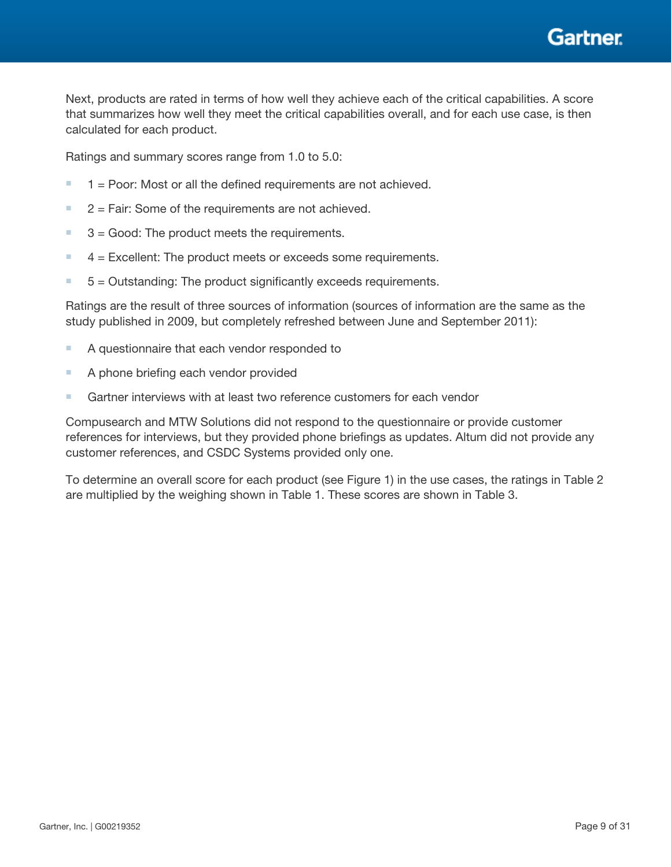Gartner

Next, products are rated in terms of how well they achieve each of the critical capabilities. A score that summarizes how well they meet the critical capabilities overall, and for each use case, is then calculated for each product.

Ratings and summary scores range from 1.0 to 5.0:

- $\blacksquare$  1 = Poor: Most or all the defined requirements are not achieved.
- $\blacksquare$  2 = Fair: Some of the requirements are not achieved.
- $\blacksquare$  3 = Good: The product meets the requirements.
- $\blacksquare$  4 = Excellent: The product meets or exceeds some requirements.
- $\blacksquare$  5 = Outstanding: The product significantly exceeds requirements.

Ratings are the result of three sources of information (sources of information are the same as the study published in 2009, but completely refreshed between June and September 2011):

- A questionnaire that each vendor responded to
- A phone briefing each vendor provided
- Gartner interviews with at least two reference customers for each vendor

Compusearch and MTW Solutions did not respond to the questionnaire or provide customer references for interviews, but they provided phone briefings as updates. Altum did not provide any customer references, and CSDC Systems provided only one.

To determine an overall score for each product (see Figure 1) in the use cases, the ratings in Table 2 are multiplied by the weighing shown in Table 1. These scores are shown in Table 3.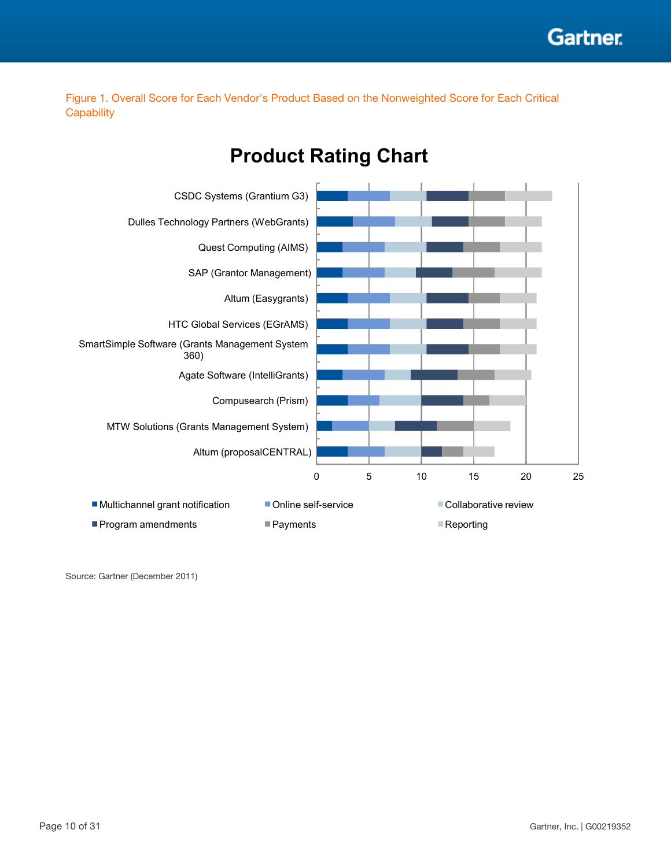Figure 1. Overall Score for Each Vendor's Product Based on the Nonweighted Score for Each Critical **Capability** 



# **Product Rating Chart**

Source: Gartner (December 2011)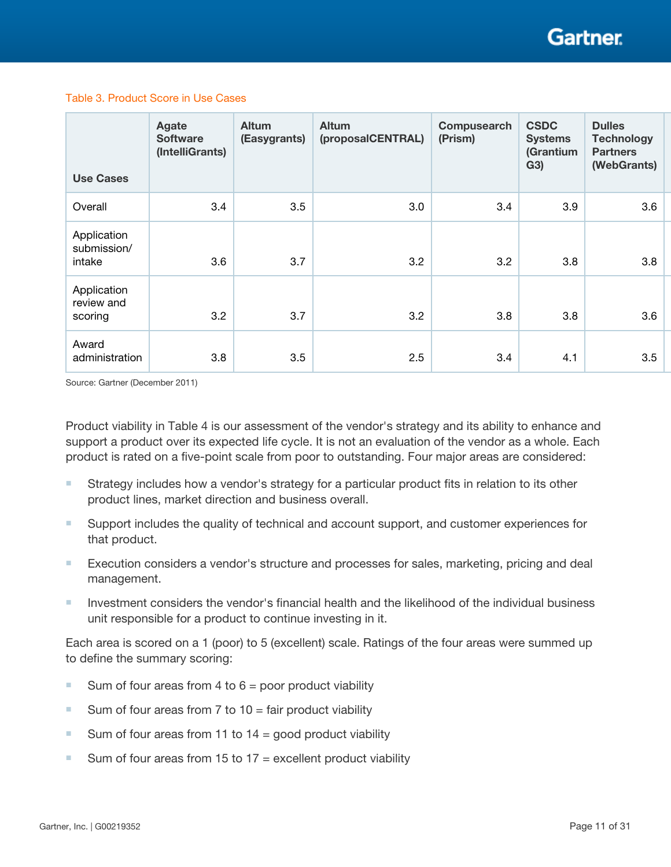#### Table 3. Product Score in Use Cases

| <b>Use Cases</b>                     | Agate<br><b>Software</b><br>(IntelliGrants) | Altum<br>(Easygrants) | Altum<br>(proposalCENTRAL) | Compusearch<br>(Prism) | <b>CSDC</b><br><b>Systems</b><br>(Grantium<br>G3) | <b>Dulles</b><br><b>Technology</b><br><b>Partners</b><br>(WebGrants) |
|--------------------------------------|---------------------------------------------|-----------------------|----------------------------|------------------------|---------------------------------------------------|----------------------------------------------------------------------|
| Overall                              | 3.4                                         | 3.5                   | 3.0                        | 3.4                    | 3.9                                               | 3.6                                                                  |
| Application<br>submission/<br>intake | 3.6                                         | 3.7                   | 3.2                        | 3.2                    | 3.8                                               | 3.8                                                                  |
| Application<br>review and<br>scoring | 3.2                                         | 3.7                   | 3.2                        | 3.8                    | 3.8                                               | 3.6                                                                  |
| Award<br>administration              | 3.8                                         | 3.5                   | 2.5                        | 3.4                    | 4.1                                               | 3.5                                                                  |

Source: Gartner (December 2011)

Product viability in Table 4 is our assessment of the vendor's strategy and its ability to enhance and support a product over its expected life cycle. It is not an evaluation of the vendor as a whole. Each product is rated on a five-point scale from poor to outstanding. Four major areas are considered:

- Strategy includes how a vendor's strategy for a particular product fits in relation to its other product lines, market direction and business overall.
- Support includes the quality of technical and account support, and customer experiences for that product.
- Execution considers a vendor's structure and processes for sales, marketing, pricing and deal management.
- Investment considers the vendor's financial health and the likelihood of the individual business unit responsible for a product to continue investing in it.

Each area is scored on a 1 (poor) to 5 (excellent) scale. Ratings of the four areas were summed up to define the summary scoring:

- Sum of four areas from 4 to  $6 =$  poor product viability
- Sum of four areas from  $7$  to  $10 =$  fair product viability
- Sum of four areas from 11 to 14 = good product viability
- Sum of four areas from 15 to  $17$  = excellent product viability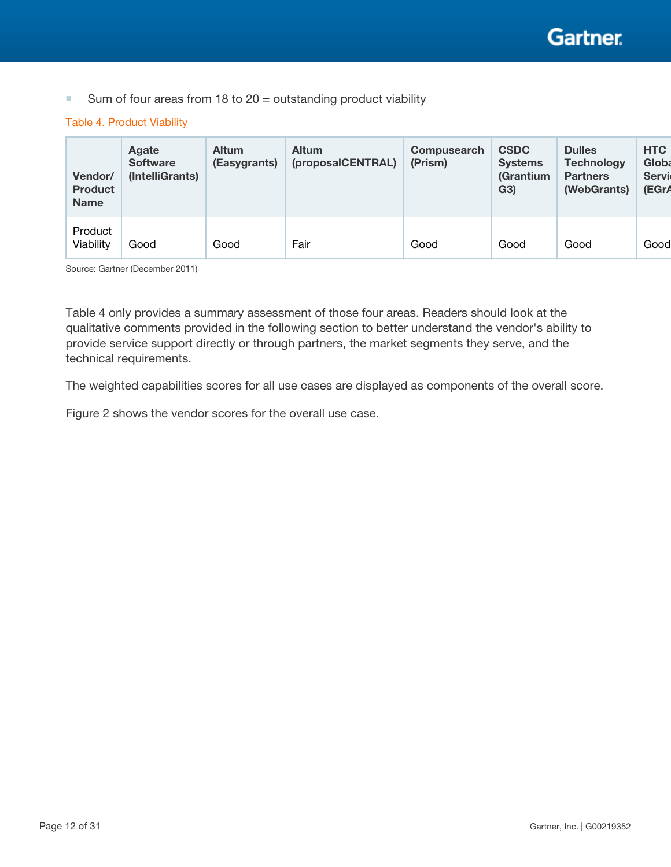■ Sum of four areas from 18 to 20 = outstanding product viability

#### Table 4. Product Viability

| Vendor/<br><b>Product</b><br><b>Name</b> | Agate<br><b>Software</b><br>(IntelliGrants) | <b>Altum</b><br>(Easygrants) | <b>Altum</b><br>(proposalCENTRAL) | <b>Compusearch</b><br>(Prism) | <b>CSDC</b><br><b>Systems</b><br>(Grantium<br>G3) | <b>Dulles</b><br><b>Technology</b><br><b>Partners</b><br>(WebGrants) | <b>HTC</b><br><b>Globa</b><br>Servi<br>(EGr/ |
|------------------------------------------|---------------------------------------------|------------------------------|-----------------------------------|-------------------------------|---------------------------------------------------|----------------------------------------------------------------------|----------------------------------------------|
| Product<br>Viability                     | Good                                        | Good                         | Fair                              | Good                          | Good                                              | Good                                                                 | Good                                         |

Source: Gartner (December 2011)

Table 4 only provides a summary assessment of those four areas. Readers should look at the qualitative comments provided in the following section to better understand the vendor's ability to provide service support directly or through partners, the market segments they serve, and the technical requirements.

The weighted capabilities scores for all use cases are displayed as components of the overall score.

Figure 2 shows the vendor scores for the overall use case.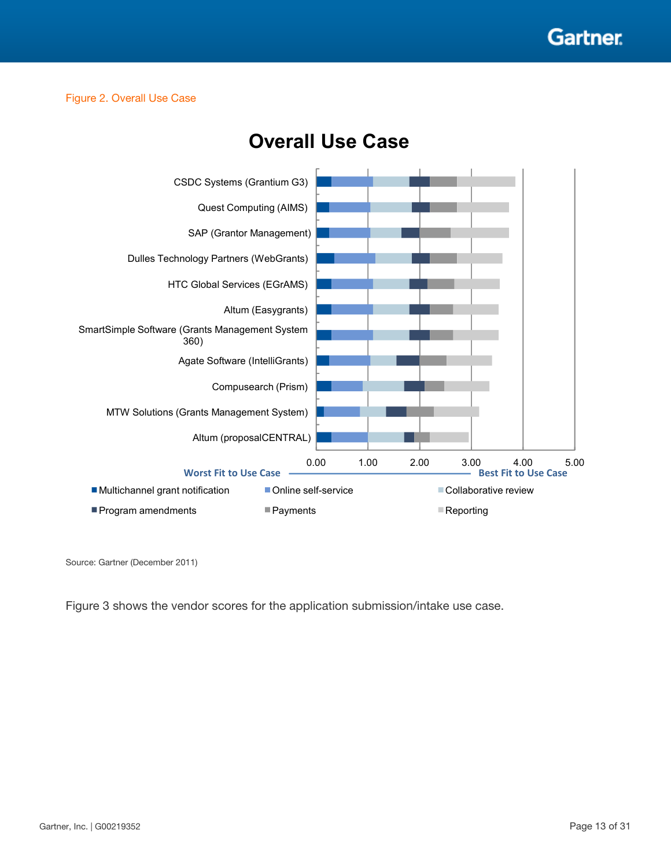

#### Figure 2. Overall Use Case



# **Overall Use Case**

Source: Gartner (December 2011)

Figure 3 shows the vendor scores for the application submission/intake use case.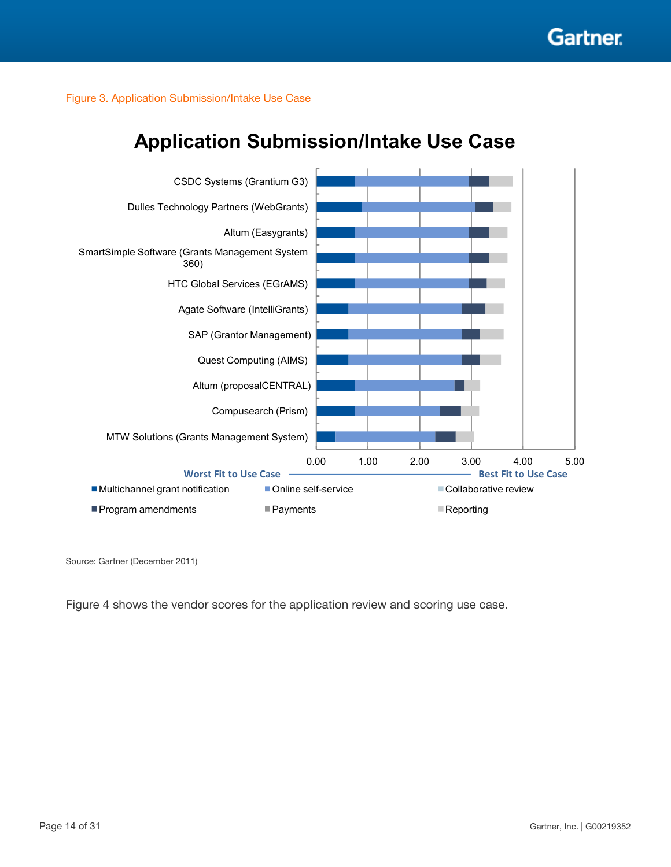

Figure 3. Application Submission/Intake Use Case



# **Application Submission/Intake Use Case**

Source: Gartner (December 2011)

Figure 4 shows the vendor scores for the application review and scoring use case.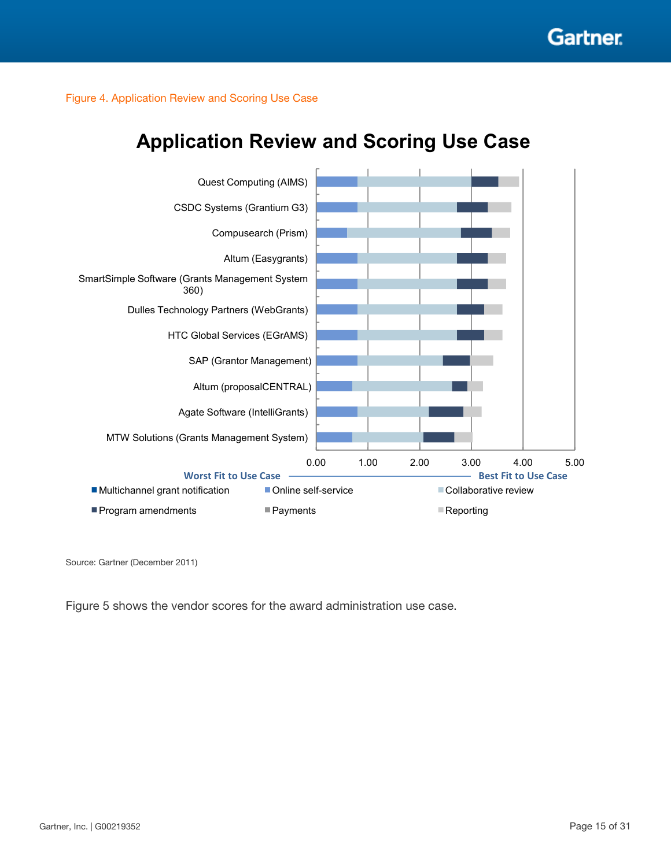Figure 4. Application Review and Scoring Use Case

# **Application Review and Scoring Use Case**



Source: Gartner (December 2011)

Figure 5 shows the vendor scores for the award administration use case.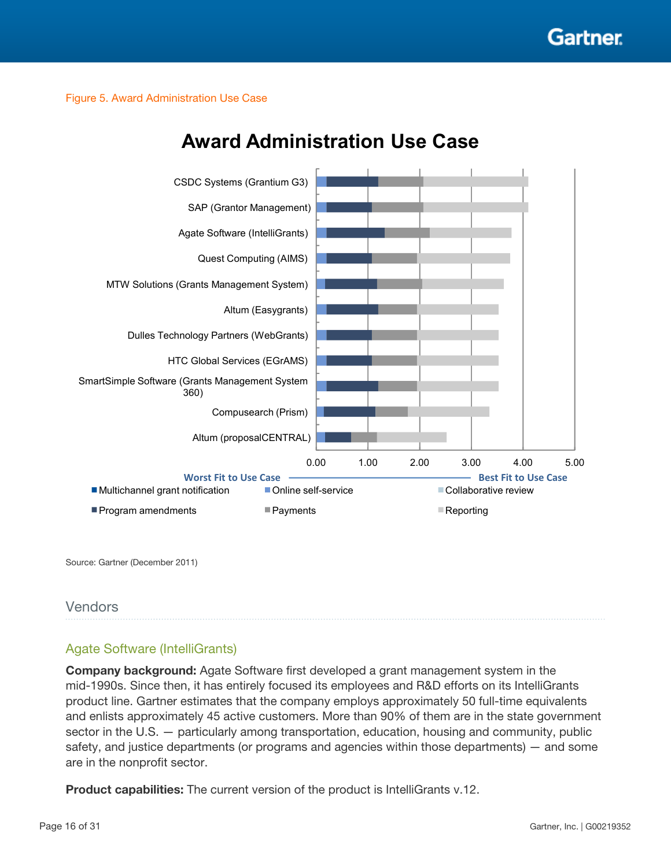

Figure 5. Award Administration Use Case



# **Award Administration Use Case**

Source: Gartner (December 2011)

#### Vendors

### Agate Software (IntelliGrants)

Company background: Agate Software first developed a grant management system in the mid-1990s. Since then, it has entirely focused its employees and R&D efforts on its IntelliGrants product line. Gartner estimates that the company employs approximately 50 full-time equivalents and enlists approximately 45 active customers. More than 90% of them are in the state government sector in the U.S. — particularly among transportation, education, housing and community, public safety, and justice departments (or programs and agencies within those departments) — and some are in the nonprofit sector.

**Product capabilities:** The current version of the product is IntelliGrants v.12.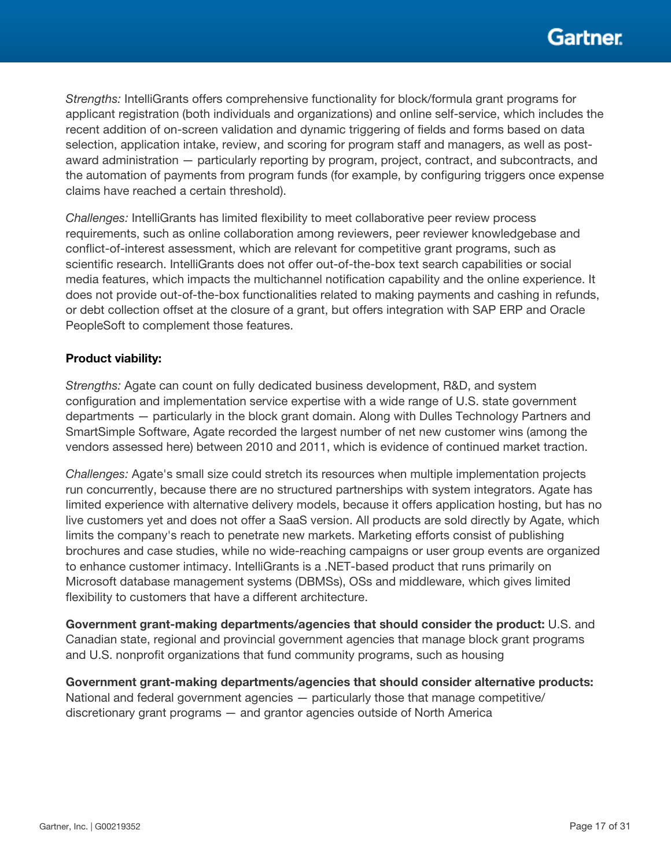*Strengths:* IntelliGrants offers comprehensive functionality for block/formula grant programs for applicant registration (both individuals and organizations) and online self-service, which includes the recent addition of on-screen validation and dynamic triggering of fields and forms based on data selection, application intake, review, and scoring for program staff and managers, as well as postaward administration — particularly reporting by program, project, contract, and subcontracts, and the automation of payments from program funds (for example, by configuring triggers once expense claims have reached a certain threshold).

*Challenges:* IntelliGrants has limited flexibility to meet collaborative peer review process requirements, such as online collaboration among reviewers, peer reviewer knowledgebase and conflict-of-interest assessment, which are relevant for competitive grant programs, such as scientific research. IntelliGrants does not offer out-of-the-box text search capabilities or social media features, which impacts the multichannel notification capability and the online experience. It does not provide out-of-the-box functionalities related to making payments and cashing in refunds, or debt collection offset at the closure of a grant, but offers integration with SAP ERP and Oracle PeopleSoft to complement those features.

#### Product viability:

*Strengths:* Agate can count on fully dedicated business development, R&D, and system configuration and implementation service expertise with a wide range of U.S. state government departments — particularly in the block grant domain. Along with Dulles Technology Partners and SmartSimple Software, Agate recorded the largest number of net new customer wins (among the vendors assessed here) between 2010 and 2011, which is evidence of continued market traction.

*Challenges:* Agate's small size could stretch its resources when multiple implementation projects run concurrently, because there are no structured partnerships with system integrators. Agate has limited experience with alternative delivery models, because it offers application hosting, but has no live customers yet and does not offer a SaaS version. All products are sold directly by Agate, which limits the company's reach to penetrate new markets. Marketing efforts consist of publishing brochures and case studies, while no wide-reaching campaigns or user group events are organized to enhance customer intimacy. IntelliGrants is a .NET-based product that runs primarily on Microsoft database management systems (DBMSs), OSs and middleware, which gives limited flexibility to customers that have a different architecture.

Government grant-making departments/agencies that should consider the product: U.S. and Canadian state, regional and provincial government agencies that manage block grant programs and U.S. nonprofit organizations that fund community programs, such as housing

Government grant-making departments/agencies that should consider alternative products: National and federal government agencies — particularly those that manage competitive/ discretionary grant programs — and grantor agencies outside of North America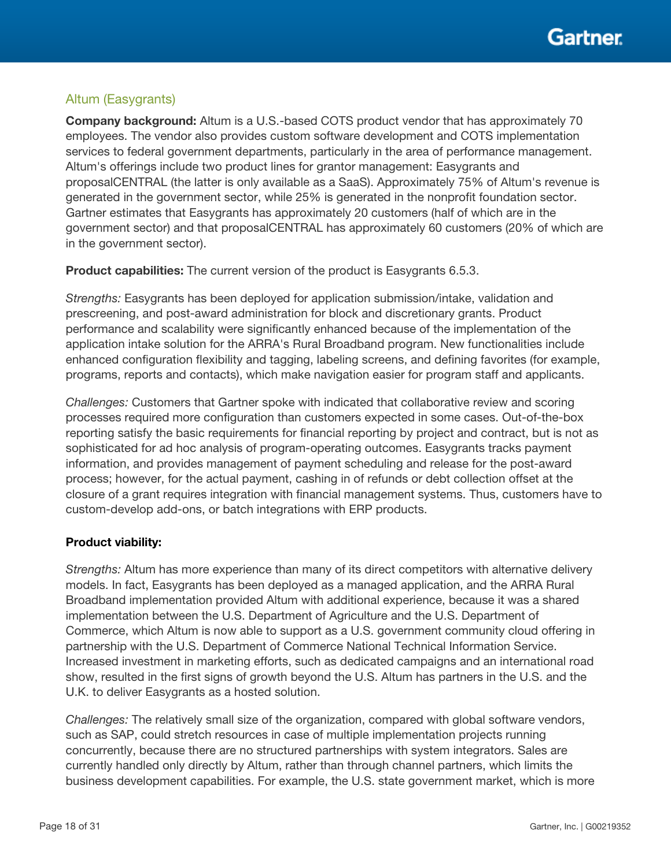### Altum (Easygrants)

Company background: Altum is a U.S.-based COTS product vendor that has approximately 70 employees. The vendor also provides custom software development and COTS implementation services to federal government departments, particularly in the area of performance management. Altum's offerings include two product lines for grantor management: Easygrants and proposalCENTRAL (the latter is only available as a SaaS). Approximately 75% of Altum's revenue is generated in the government sector, while 25% is generated in the nonprofit foundation sector. Gartner estimates that Easygrants has approximately 20 customers (half of which are in the government sector) and that proposalCENTRAL has approximately 60 customers (20% of which are in the government sector).

Product capabilities: The current version of the product is Easygrants 6.5.3.

*Strengths:* Easygrants has been deployed for application submission/intake, validation and prescreening, and post-award administration for block and discretionary grants. Product performance and scalability were significantly enhanced because of the implementation of the application intake solution for the ARRA's Rural Broadband program. New functionalities include enhanced configuration flexibility and tagging, labeling screens, and defining favorites (for example, programs, reports and contacts), which make navigation easier for program staff and applicants.

*Challenges:* Customers that Gartner spoke with indicated that collaborative review and scoring processes required more configuration than customers expected in some cases. Out-of-the-box reporting satisfy the basic requirements for financial reporting by project and contract, but is not as sophisticated for ad hoc analysis of program-operating outcomes. Easygrants tracks payment information, and provides management of payment scheduling and release for the post-award process; however, for the actual payment, cashing in of refunds or debt collection offset at the closure of a grant requires integration with financial management systems. Thus, customers have to custom-develop add-ons, or batch integrations with ERP products.

#### Product viability:

*Strengths:* Altum has more experience than many of its direct competitors with alternative delivery models. In fact, Easygrants has been deployed as a managed application, and the ARRA Rural Broadband implementation provided Altum with additional experience, because it was a shared implementation between the U.S. Department of Agriculture and the U.S. Department of Commerce, which Altum is now able to support as a U.S. government community cloud offering in partnership with the U.S. Department of Commerce National Technical Information Service. Increased investment in marketing efforts, such as dedicated campaigns and an international road show, resulted in the first signs of growth beyond the U.S. Altum has partners in the U.S. and the U.K. to deliver Easygrants as a hosted solution.

*Challenges:* The relatively small size of the organization, compared with global software vendors, such as SAP, could stretch resources in case of multiple implementation projects running concurrently, because there are no structured partnerships with system integrators. Sales are currently handled only directly by Altum, rather than through channel partners, which limits the business development capabilities. For example, the U.S. state government market, which is more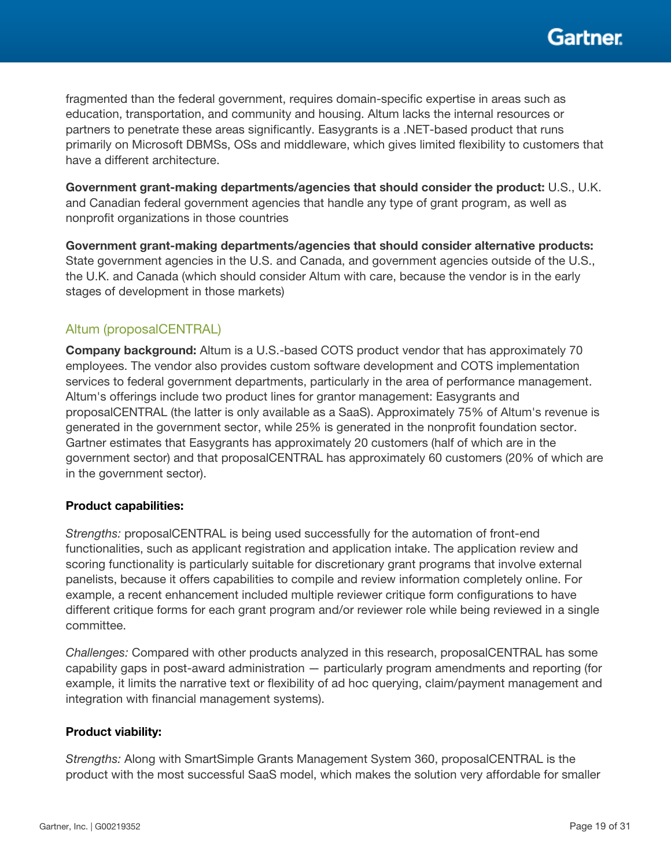

fragmented than the federal government, requires domain-specific expertise in areas such as education, transportation, and community and housing. Altum lacks the internal resources or partners to penetrate these areas significantly. Easygrants is a .NET-based product that runs primarily on Microsoft DBMSs, OSs and middleware, which gives limited flexibility to customers that have a different architecture.

Government grant-making departments/agencies that should consider the product: U.S., U.K. and Canadian federal government agencies that handle any type of grant program, as well as nonprofit organizations in those countries

Government grant-making departments/agencies that should consider alternative products: State government agencies in the U.S. and Canada, and government agencies outside of the U.S., the U.K. and Canada (which should consider Altum with care, because the vendor is in the early stages of development in those markets)

#### Altum (proposalCENTRAL)

Company background: Altum is a U.S.-based COTS product vendor that has approximately 70 employees. The vendor also provides custom software development and COTS implementation services to federal government departments, particularly in the area of performance management. Altum's offerings include two product lines for grantor management: Easygrants and proposalCENTRAL (the latter is only available as a SaaS). Approximately 75% of Altum's revenue is generated in the government sector, while 25% is generated in the nonprofit foundation sector. Gartner estimates that Easygrants has approximately 20 customers (half of which are in the government sector) and that proposalCENTRAL has approximately 60 customers (20% of which are in the government sector).

#### Product capabilities:

*Strengths:* proposalCENTRAL is being used successfully for the automation of front-end functionalities, such as applicant registration and application intake. The application review and scoring functionality is particularly suitable for discretionary grant programs that involve external panelists, because it offers capabilities to compile and review information completely online. For example, a recent enhancement included multiple reviewer critique form configurations to have different critique forms for each grant program and/or reviewer role while being reviewed in a single committee.

*Challenges:* Compared with other products analyzed in this research, proposalCENTRAL has some capability gaps in post-award administration — particularly program amendments and reporting (for example, it limits the narrative text or flexibility of ad hoc querying, claim/payment management and integration with financial management systems).

#### Product viability:

*Strengths:* Along with SmartSimple Grants Management System 360, proposalCENTRAL is the product with the most successful SaaS model, which makes the solution very affordable for smaller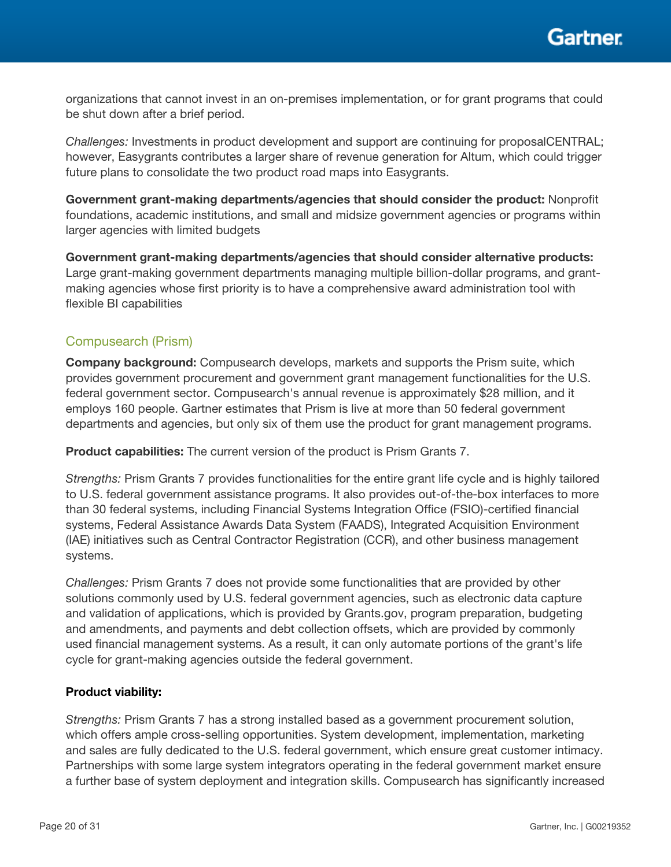organizations that cannot invest in an on-premises implementation, or for grant programs that could be shut down after a brief period.

*Challenges:* Investments in product development and support are continuing for proposalCENTRAL; however, Easygrants contributes a larger share of revenue generation for Altum, which could trigger future plans to consolidate the two product road maps into Easygrants.

Government grant-making departments/agencies that should consider the product: Nonprofit foundations, academic institutions, and small and midsize government agencies or programs within larger agencies with limited budgets

Government grant-making departments/agencies that should consider alternative products: Large grant-making government departments managing multiple billion-dollar programs, and grantmaking agencies whose first priority is to have a comprehensive award administration tool with flexible BI capabilities

#### Compusearch (Prism)

Company background: Compusearch develops, markets and supports the Prism suite, which provides government procurement and government grant management functionalities for the U.S. federal government sector. Compusearch's annual revenue is approximately \$28 million, and it employs 160 people. Gartner estimates that Prism is live at more than 50 federal government departments and agencies, but only six of them use the product for grant management programs.

Product capabilities: The current version of the product is Prism Grants 7.

*Strengths:* Prism Grants 7 provides functionalities for the entire grant life cycle and is highly tailored to U.S. federal government assistance programs. It also provides out-of-the-box interfaces to more than 30 federal systems, including Financial Systems Integration Office (FSIO)-certified financial systems, Federal Assistance Awards Data System (FAADS), Integrated Acquisition Environment (IAE) initiatives such as Central Contractor Registration (CCR), and other business management systems.

*Challenges:* Prism Grants 7 does not provide some functionalities that are provided by other solutions commonly used by U.S. federal government agencies, such as electronic data capture and validation of applications, which is provided by Grants.gov, program preparation, budgeting and amendments, and payments and debt collection offsets, which are provided by commonly used financial management systems. As a result, it can only automate portions of the grant's life cycle for grant-making agencies outside the federal government.

#### Product viability:

*Strengths:* Prism Grants 7 has a strong installed based as a government procurement solution, which offers ample cross-selling opportunities. System development, implementation, marketing and sales are fully dedicated to the U.S. federal government, which ensure great customer intimacy. Partnerships with some large system integrators operating in the federal government market ensure a further base of system deployment and integration skills. Compusearch has significantly increased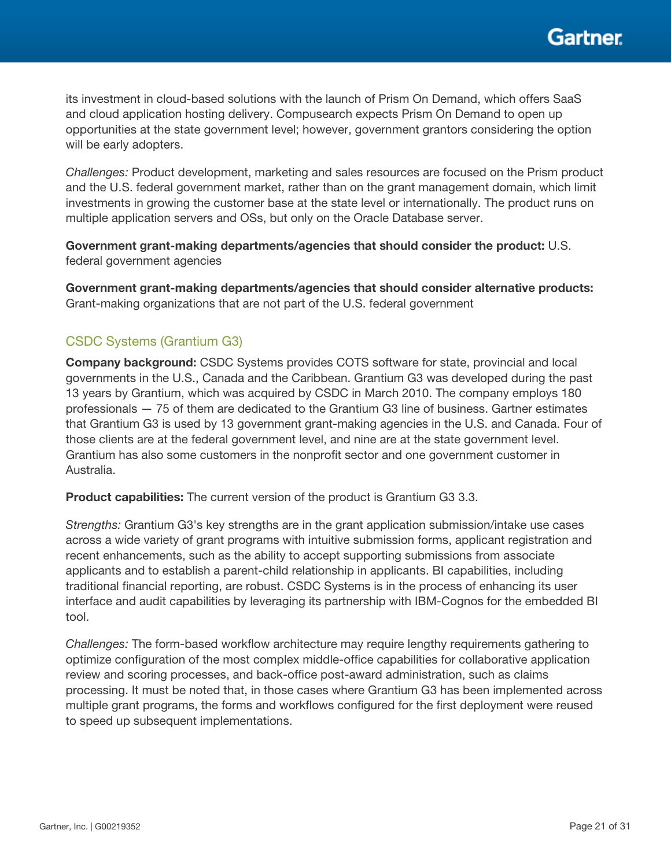

its investment in cloud-based solutions with the launch of Prism On Demand, which offers SaaS and cloud application hosting delivery. Compusearch expects Prism On Demand to open up opportunities at the state government level; however, government grantors considering the option will be early adopters.

*Challenges:* Product development, marketing and sales resources are focused on the Prism product and the U.S. federal government market, rather than on the grant management domain, which limit investments in growing the customer base at the state level or internationally. The product runs on multiple application servers and OSs, but only on the Oracle Database server.

Government grant-making departments/agencies that should consider the product: U.S. federal government agencies

Government grant-making departments/agencies that should consider alternative products: Grant-making organizations that are not part of the U.S. federal government

### CSDC Systems (Grantium G3)

Company background: CSDC Systems provides COTS software for state, provincial and local governments in the U.S., Canada and the Caribbean. Grantium G3 was developed during the past 13 years by Grantium, which was acquired by CSDC in March 2010. The company employs 180 professionals — 75 of them are dedicated to the Grantium G3 line of business. Gartner estimates that Grantium G3 is used by 13 government grant-making agencies in the U.S. and Canada. Four of those clients are at the federal government level, and nine are at the state government level. Grantium has also some customers in the nonprofit sector and one government customer in Australia.

**Product capabilities:** The current version of the product is Grantium G3 3.3.

*Strengths:* Grantium G3's key strengths are in the grant application submission/intake use cases across a wide variety of grant programs with intuitive submission forms, applicant registration and recent enhancements, such as the ability to accept supporting submissions from associate applicants and to establish a parent-child relationship in applicants. BI capabilities, including traditional financial reporting, are robust. CSDC Systems is in the process of enhancing its user interface and audit capabilities by leveraging its partnership with IBM-Cognos for the embedded BI tool.

*Challenges:* The form-based workflow architecture may require lengthy requirements gathering to optimize configuration of the most complex middle-office capabilities for collaborative application review and scoring processes, and back-office post-award administration, such as claims processing. It must be noted that, in those cases where Grantium G3 has been implemented across multiple grant programs, the forms and workflows configured for the first deployment were reused to speed up subsequent implementations.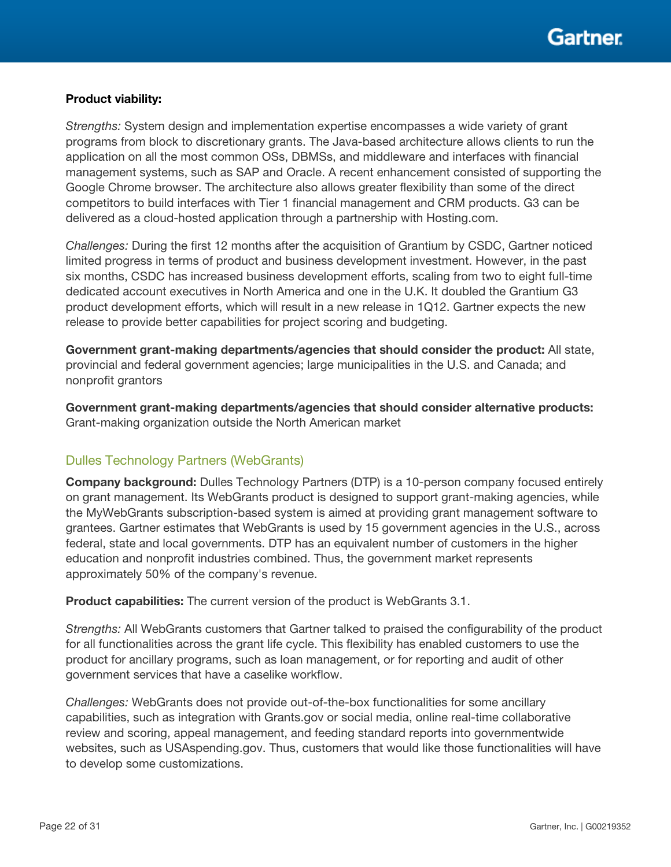

#### Product viability:

*Strengths:* System design and implementation expertise encompasses a wide variety of grant programs from block to discretionary grants. The Java-based architecture allows clients to run the application on all the most common OSs, DBMSs, and middleware and interfaces with financial management systems, such as SAP and Oracle. A recent enhancement consisted of supporting the Google Chrome browser. The architecture also allows greater flexibility than some of the direct competitors to build interfaces with Tier 1 financial management and CRM products. G3 can be delivered as a cloud-hosted application through a partnership with Hosting.com.

*Challenges:* During the first 12 months after the acquisition of Grantium by CSDC, Gartner noticed limited progress in terms of product and business development investment. However, in the past six months, CSDC has increased business development efforts, scaling from two to eight full-time dedicated account executives in North America and one in the U.K. It doubled the Grantium G3 product development efforts, which will result in a new release in 1Q12. Gartner expects the new release to provide better capabilities for project scoring and budgeting.

Government grant-making departments/agencies that should consider the product: All state, provincial and federal government agencies; large municipalities in the U.S. and Canada; and nonprofit grantors

Government grant-making departments/agencies that should consider alternative products: Grant-making organization outside the North American market

#### Dulles Technology Partners (WebGrants)

Company background: Dulles Technology Partners (DTP) is a 10-person company focused entirely on grant management. Its WebGrants product is designed to support grant-making agencies, while the MyWebGrants subscription-based system is aimed at providing grant management software to grantees. Gartner estimates that WebGrants is used by 15 government agencies in the U.S., across federal, state and local governments. DTP has an equivalent number of customers in the higher education and nonprofit industries combined. Thus, the government market represents approximately 50% of the company's revenue.

**Product capabilities:** The current version of the product is WebGrants 3.1.

*Strengths:* All WebGrants customers that Gartner talked to praised the configurability of the product for all functionalities across the grant life cycle. This flexibility has enabled customers to use the product for ancillary programs, such as loan management, or for reporting and audit of other government services that have a caselike workflow.

*Challenges:* WebGrants does not provide out-of-the-box functionalities for some ancillary capabilities, such as integration with Grants.gov or social media, online real-time collaborative review and scoring, appeal management, and feeding standard reports into governmentwide websites, such as USAspending.gov. Thus, customers that would like those functionalities will have to develop some customizations.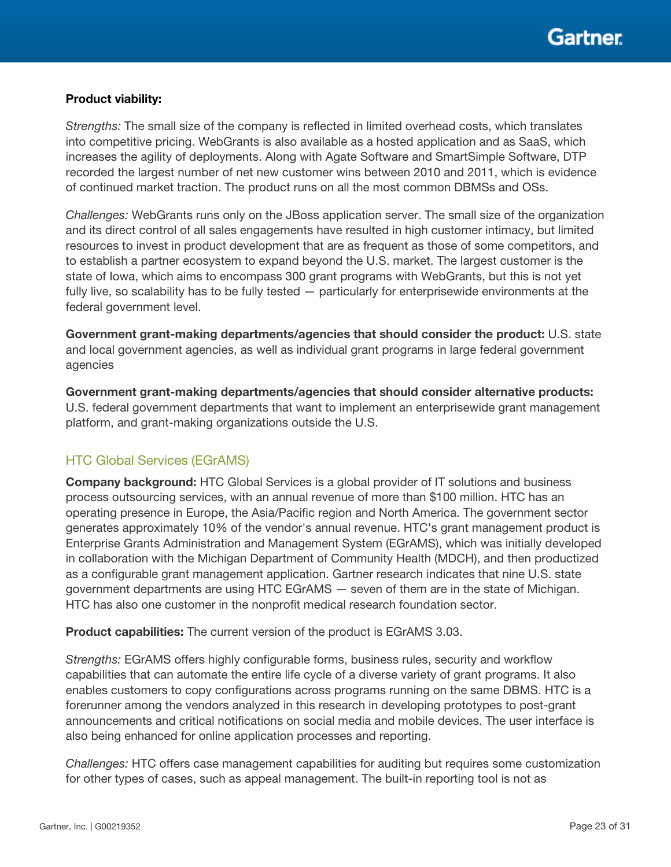#### Product viability:

*Strengths:* The small size of the company is reflected in limited overhead costs, which translates into competitive pricing. WebGrants is also available as a hosted application and as SaaS, which increases the agility of deployments. Along with Agate Software and SmartSimple Software, DTP recorded the largest number of net new customer wins between 2010 and 2011, which is evidence of continued market traction. The product runs on all the most common DBMSs and OSs.

*Challenges:* WebGrants runs only on the JBoss application server. The small size of the organization and its direct control of all sales engagements have resulted in high customer intimacy, but limited resources to invest in product development that are as frequent as those of some competitors, and to establish a partner ecosystem to expand beyond the U.S. market. The largest customer is the state of Iowa, which aims to encompass 300 grant programs with WebGrants, but this is not yet fully live, so scalability has to be fully tested — particularly for enterprisewide environments at the federal government level.

Government grant-making departments/agencies that should consider the product: U.S. state and local government agencies, as well as individual grant programs in large federal government agencies

Government grant-making departments/agencies that should consider alternative products: U.S. federal government departments that want to implement an enterprisewide grant management platform, and grant-making organizations outside the U.S.

### HTC Global Services (EGrAMS)

Company background: HTC Global Services is a global provider of IT solutions and business process outsourcing services, with an annual revenue of more than \$100 million. HTC has an operating presence in Europe, the Asia/Pacific region and North America. The government sector generates approximately 10% of the vendor's annual revenue. HTC's grant management product is Enterprise Grants Administration and Management System (EGrAMS), which was initially developed in collaboration with the Michigan Department of Community Health (MDCH), and then productized as a configurable grant management application. Gartner research indicates that nine U.S. state government departments are using HTC EGrAMS — seven of them are in the state of Michigan. HTC has also one customer in the nonprofit medical research foundation sector.

Product capabilities: The current version of the product is EGrAMS 3.03.

*Strengths:* EGrAMS offers highly configurable forms, business rules, security and workflow capabilities that can automate the entire life cycle of a diverse variety of grant programs. It also enables customers to copy configurations across programs running on the same DBMS. HTC is a forerunner among the vendors analyzed in this research in developing prototypes to post-grant announcements and critical notifications on social media and mobile devices. The user interface is also being enhanced for online application processes and reporting.

*Challenges:* HTC offers case management capabilities for auditing but requires some customization for other types of cases, such as appeal management. The built-in reporting tool is not as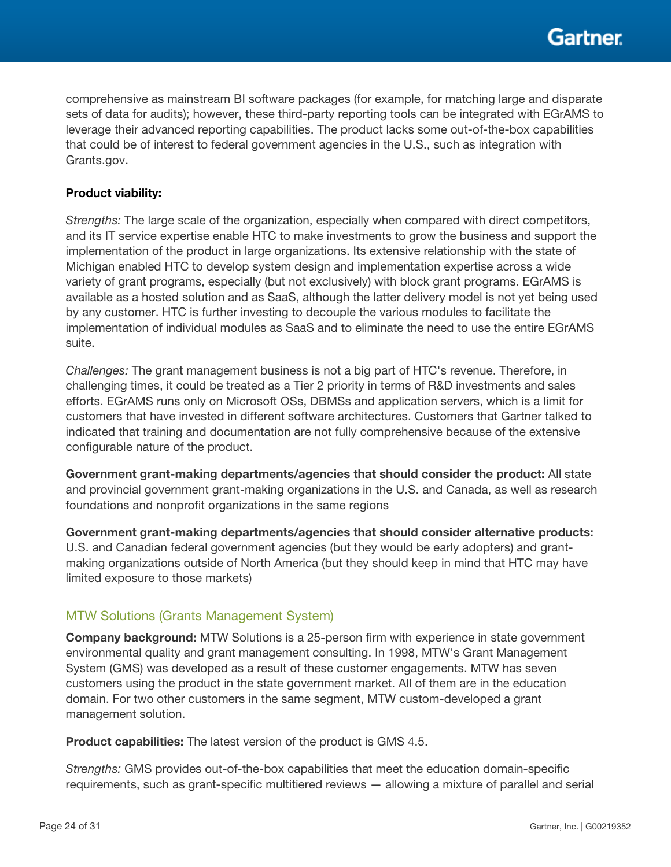comprehensive as mainstream BI software packages (for example, for matching large and disparate sets of data for audits); however, these third-party reporting tools can be integrated with EGrAMS to leverage their advanced reporting capabilities. The product lacks some out-of-the-box capabilities that could be of interest to federal government agencies in the U.S., such as integration with Grants.gov.

#### Product viability:

*Strengths:* The large scale of the organization, especially when compared with direct competitors, and its IT service expertise enable HTC to make investments to grow the business and support the implementation of the product in large organizations. Its extensive relationship with the state of Michigan enabled HTC to develop system design and implementation expertise across a wide variety of grant programs, especially (but not exclusively) with block grant programs. EGrAMS is available as a hosted solution and as SaaS, although the latter delivery model is not yet being used by any customer. HTC is further investing to decouple the various modules to facilitate the implementation of individual modules as SaaS and to eliminate the need to use the entire EGrAMS suite.

*Challenges:* The grant management business is not a big part of HTC's revenue. Therefore, in challenging times, it could be treated as a Tier 2 priority in terms of R&D investments and sales efforts. EGrAMS runs only on Microsoft OSs, DBMSs and application servers, which is a limit for customers that have invested in different software architectures. Customers that Gartner talked to indicated that training and documentation are not fully comprehensive because of the extensive configurable nature of the product.

Government grant-making departments/agencies that should consider the product: All state and provincial government grant-making organizations in the U.S. and Canada, as well as research foundations and nonprofit organizations in the same regions

Government grant-making departments/agencies that should consider alternative products: U.S. and Canadian federal government agencies (but they would be early adopters) and grantmaking organizations outside of North America (but they should keep in mind that HTC may have limited exposure to those markets)

#### MTW Solutions (Grants Management System)

Company background: MTW Solutions is a 25-person firm with experience in state government environmental quality and grant management consulting. In 1998, MTW's Grant Management System (GMS) was developed as a result of these customer engagements. MTW has seven customers using the product in the state government market. All of them are in the education domain. For two other customers in the same segment, MTW custom-developed a grant management solution.

**Product capabilities:** The latest version of the product is GMS 4.5.

*Strengths:* GMS provides out-of-the-box capabilities that meet the education domain-specific requirements, such as grant-specific multitiered reviews — allowing a mixture of parallel and serial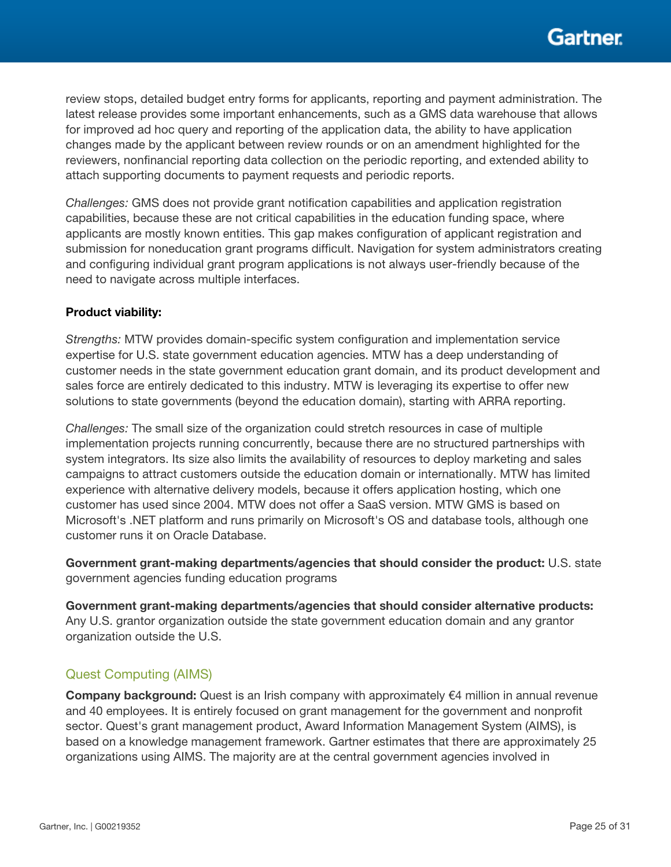review stops, detailed budget entry forms for applicants, reporting and payment administration. The latest release provides some important enhancements, such as a GMS data warehouse that allows for improved ad hoc query and reporting of the application data, the ability to have application changes made by the applicant between review rounds or on an amendment highlighted for the reviewers, nonfinancial reporting data collection on the periodic reporting, and extended ability to attach supporting documents to payment requests and periodic reports.

*Challenges:* GMS does not provide grant notification capabilities and application registration capabilities, because these are not critical capabilities in the education funding space, where applicants are mostly known entities. This gap makes configuration of applicant registration and submission for noneducation grant programs difficult. Navigation for system administrators creating and configuring individual grant program applications is not always user-friendly because of the need to navigate across multiple interfaces.

#### Product viability:

*Strengths:* MTW provides domain-specific system configuration and implementation service expertise for U.S. state government education agencies. MTW has a deep understanding of customer needs in the state government education grant domain, and its product development and sales force are entirely dedicated to this industry. MTW is leveraging its expertise to offer new solutions to state governments (beyond the education domain), starting with ARRA reporting.

*Challenges:* The small size of the organization could stretch resources in case of multiple implementation projects running concurrently, because there are no structured partnerships with system integrators. Its size also limits the availability of resources to deploy marketing and sales campaigns to attract customers outside the education domain or internationally. MTW has limited experience with alternative delivery models, because it offers application hosting, which one customer has used since 2004. MTW does not offer a SaaS version. MTW GMS is based on Microsoft's .NET platform and runs primarily on Microsoft's OS and database tools, although one customer runs it on Oracle Database.

Government grant-making departments/agencies that should consider the product: U.S. state government agencies funding education programs

Government grant-making departments/agencies that should consider alternative products: Any U.S. grantor organization outside the state government education domain and any grantor organization outside the U.S.

### Quest Computing (AIMS)

**Company background:** Quest is an Irish company with approximately  $\epsilon$ 4 million in annual revenue and 40 employees. It is entirely focused on grant management for the government and nonprofit sector. Quest's grant management product, Award Information Management System (AIMS), is based on a knowledge management framework. Gartner estimates that there are approximately 25 organizations using AIMS. The majority are at the central government agencies involved in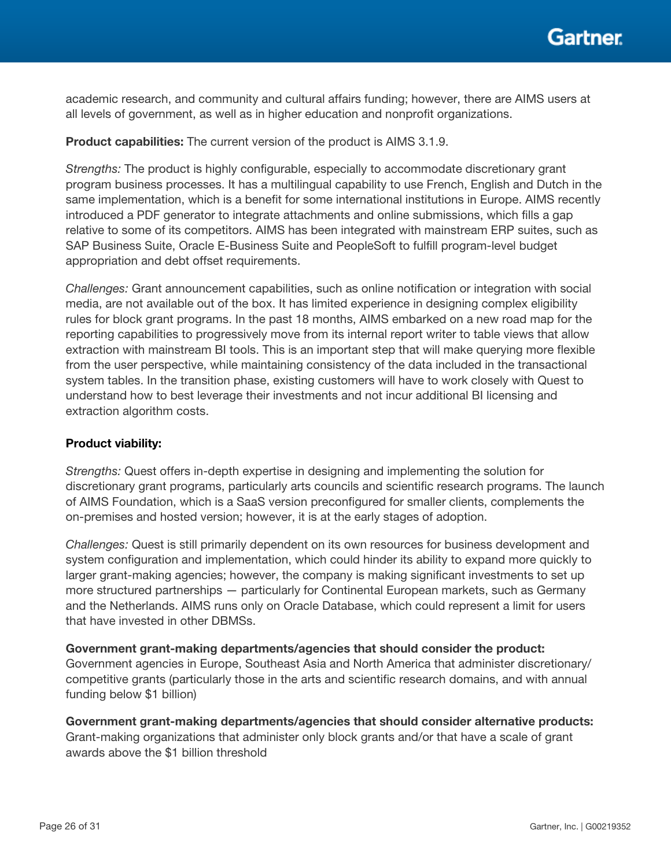academic research, and community and cultural affairs funding; however, there are AIMS users at all levels of government, as well as in higher education and nonprofit organizations.

#### Product capabilities: The current version of the product is AIMS 3.1.9.

*Strengths:* The product is highly configurable, especially to accommodate discretionary grant program business processes. It has a multilingual capability to use French, English and Dutch in the same implementation, which is a benefit for some international institutions in Europe. AIMS recently introduced a PDF generator to integrate attachments and online submissions, which fills a gap relative to some of its competitors. AIMS has been integrated with mainstream ERP suites, such as SAP Business Suite, Oracle E-Business Suite and PeopleSoft to fulfill program-level budget appropriation and debt offset requirements.

*Challenges:* Grant announcement capabilities, such as online notification or integration with social media, are not available out of the box. It has limited experience in designing complex eligibility rules for block grant programs. In the past 18 months, AIMS embarked on a new road map for the reporting capabilities to progressively move from its internal report writer to table views that allow extraction with mainstream BI tools. This is an important step that will make querying more flexible from the user perspective, while maintaining consistency of the data included in the transactional system tables. In the transition phase, existing customers will have to work closely with Quest to understand how to best leverage their investments and not incur additional BI licensing and extraction algorithm costs.

#### Product viability:

*Strengths:* Quest offers in-depth expertise in designing and implementing the solution for discretionary grant programs, particularly arts councils and scientific research programs. The launch of AIMS Foundation, which is a SaaS version preconfigured for smaller clients, complements the on-premises and hosted version; however, it is at the early stages of adoption.

*Challenges:* Quest is still primarily dependent on its own resources for business development and system configuration and implementation, which could hinder its ability to expand more quickly to larger grant-making agencies; however, the company is making significant investments to set up more structured partnerships — particularly for Continental European markets, such as Germany and the Netherlands. AIMS runs only on Oracle Database, which could represent a limit for users that have invested in other DBMSs.

Government grant-making departments/agencies that should consider the product: Government agencies in Europe, Southeast Asia and North America that administer discretionary/ competitive grants (particularly those in the arts and scientific research domains, and with annual funding below \$1 billion)

Government grant-making departments/agencies that should consider alternative products: Grant-making organizations that administer only block grants and/or that have a scale of grant awards above the \$1 billion threshold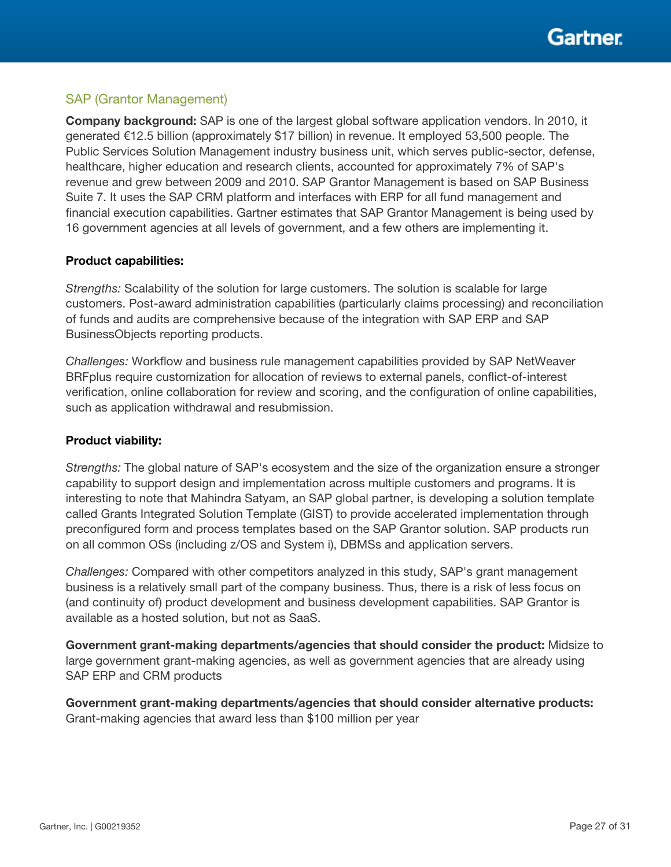

#### SAP (Grantor Management)

Company background: SAP is one of the largest global software application vendors. In 2010, it generated €12.5 billion (approximately \$17 billion) in revenue. It employed 53,500 people. The Public Services Solution Management industry business unit, which serves public-sector, defense, healthcare, higher education and research clients, accounted for approximately 7% of SAP's revenue and grew between 2009 and 2010. SAP Grantor Management is based on SAP Business Suite 7. It uses the SAP CRM platform and interfaces with ERP for all fund management and financial execution capabilities. Gartner estimates that SAP Grantor Management is being used by 16 government agencies at all levels of government, and a few others are implementing it.

#### Product capabilities:

*Strengths:* Scalability of the solution for large customers. The solution is scalable for large customers. Post-award administration capabilities (particularly claims processing) and reconciliation of funds and audits are comprehensive because of the integration with SAP ERP and SAP BusinessObjects reporting products.

*Challenges:* Workflow and business rule management capabilities provided by SAP NetWeaver BRFplus require customization for allocation of reviews to external panels, conflict-of-interest verification, online collaboration for review and scoring, and the configuration of online capabilities, such as application withdrawal and resubmission.

#### Product viability:

*Strengths:* The global nature of SAP's ecosystem and the size of the organization ensure a stronger capability to support design and implementation across multiple customers and programs. It is interesting to note that Mahindra Satyam, an SAP global partner, is developing a solution template called Grants Integrated Solution Template (GIST) to provide accelerated implementation through preconfigured form and process templates based on the SAP Grantor solution. SAP products run on all common OSs (including z/OS and System i), DBMSs and application servers.

*Challenges:* Compared with other competitors analyzed in this study, SAP's grant management business is a relatively small part of the company business. Thus, there is a risk of less focus on (and continuity of) product development and business development capabilities. SAP Grantor is available as a hosted solution, but not as SaaS.

Government grant-making departments/agencies that should consider the product: Midsize to large government grant-making agencies, as well as government agencies that are already using SAP ERP and CRM products

Government grant-making departments/agencies that should consider alternative products: Grant-making agencies that award less than \$100 million per year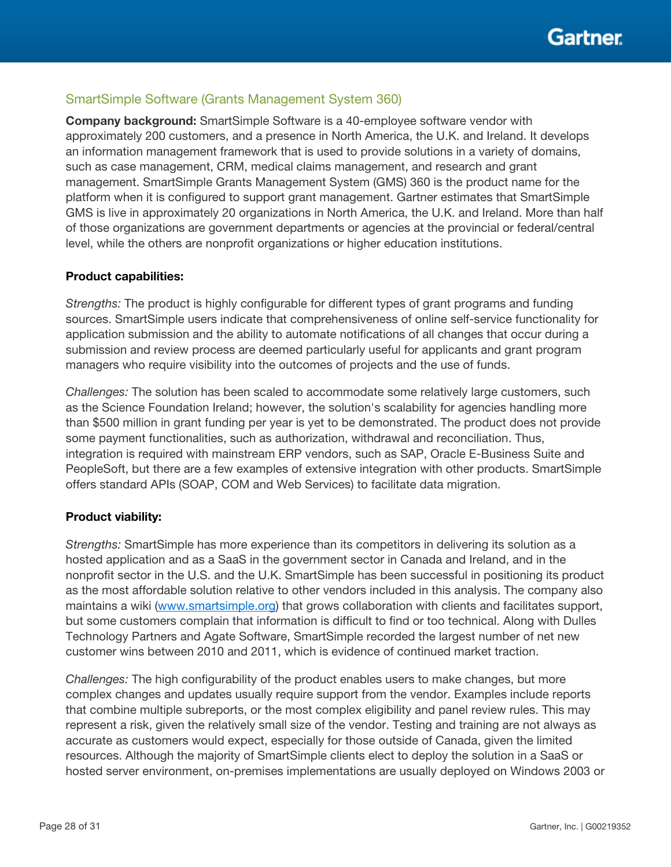### SmartSimple Software (Grants Management System 360)

Company background: SmartSimple Software is a 40-employee software vendor with approximately 200 customers, and a presence in North America, the U.K. and Ireland. It develops an information management framework that is used to provide solutions in a variety of domains, such as case management, CRM, medical claims management, and research and grant management. SmartSimple Grants Management System (GMS) 360 is the product name for the platform when it is configured to support grant management. Gartner estimates that SmartSimple GMS is live in approximately 20 organizations in North America, the U.K. and Ireland. More than half of those organizations are government departments or agencies at the provincial or federal/central level, while the others are nonprofit organizations or higher education institutions.

#### Product capabilities:

*Strengths:* The product is highly configurable for different types of grant programs and funding sources. SmartSimple users indicate that comprehensiveness of online self-service functionality for application submission and the ability to automate notifications of all changes that occur during a submission and review process are deemed particularly useful for applicants and grant program managers who require visibility into the outcomes of projects and the use of funds.

*Challenges:* The solution has been scaled to accommodate some relatively large customers, such as the Science Foundation Ireland; however, the solution's scalability for agencies handling more than \$500 million in grant funding per year is yet to be demonstrated. The product does not provide some payment functionalities, such as authorization, withdrawal and reconciliation. Thus, integration is required with mainstream ERP vendors, such as SAP, Oracle E-Business Suite and PeopleSoft, but there are a few examples of extensive integration with other products. SmartSimple offers standard APIs (SOAP, COM and Web Services) to facilitate data migration.

#### Product viability:

*Strengths:* SmartSimple has more experience than its competitors in delivering its solution as a hosted application and as a SaaS in the government sector in Canada and Ireland, and in the nonprofit sector in the U.S. and the U.K. SmartSimple has been successful in positioning its product as the most affordable solution relative to other vendors included in this analysis. The company also maintains a wiki [\(www.smartsimple.org\)](http://www.smartsimple.org/) that grows collaboration with clients and facilitates support, but some customers complain that information is difficult to find or too technical. Along with Dulles Technology Partners and Agate Software, SmartSimple recorded the largest number of net new customer wins between 2010 and 2011, which is evidence of continued market traction.

*Challenges:* The high configurability of the product enables users to make changes, but more complex changes and updates usually require support from the vendor. Examples include reports that combine multiple subreports, or the most complex eligibility and panel review rules. This may represent a risk, given the relatively small size of the vendor. Testing and training are not always as accurate as customers would expect, especially for those outside of Canada, given the limited resources. Although the majority of SmartSimple clients elect to deploy the solution in a SaaS or hosted server environment, on-premises implementations are usually deployed on Windows 2003 or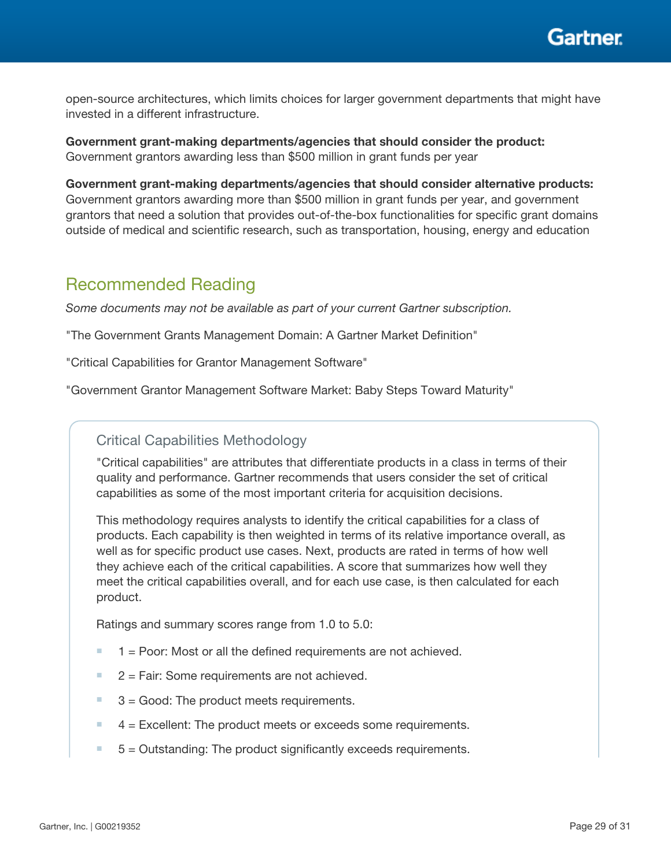Gartner

open-source architectures, which limits choices for larger government departments that might have invested in a different infrastructure.

Government grant-making departments/agencies that should consider the product: Government grantors awarding less than \$500 million in grant funds per year

Government grant-making departments/agencies that should consider alternative products: Government grantors awarding more than \$500 million in grant funds per year, and government grantors that need a solution that provides out-of-the-box functionalities for specific grant domains outside of medical and scientific research, such as transportation, housing, energy and education

## Recommended Reading

*Some documents may not be available as part of your current Gartner subscription.*

"The Government Grants Management Domain: A Gartner Market Definition"

"Critical Capabilities for Grantor Management Software"

"Government Grantor Management Software Market: Baby Steps Toward Maturity"

### Critical Capabilities Methodology

"Critical capabilities" are attributes that differentiate products in a class in terms of their quality and performance. Gartner recommends that users consider the set of critical capabilities as some of the most important criteria for acquisition decisions.

This methodology requires analysts to identify the critical capabilities for a class of products. Each capability is then weighted in terms of its relative importance overall, as well as for specific product use cases. Next, products are rated in terms of how well they achieve each of the critical capabilities. A score that summarizes how well they meet the critical capabilities overall, and for each use case, is then calculated for each product.

Ratings and summary scores range from 1.0 to 5.0:

- $1 =$  Poor: Most or all the defined requirements are not achieved.
- $2$  = Fair: Some requirements are not achieved.
- $3 =$  Good: The product meets requirements.
- $4$  = Excellent: The product meets or exceeds some requirements.
- $5 =$  Outstanding: The product significantly exceeds requirements.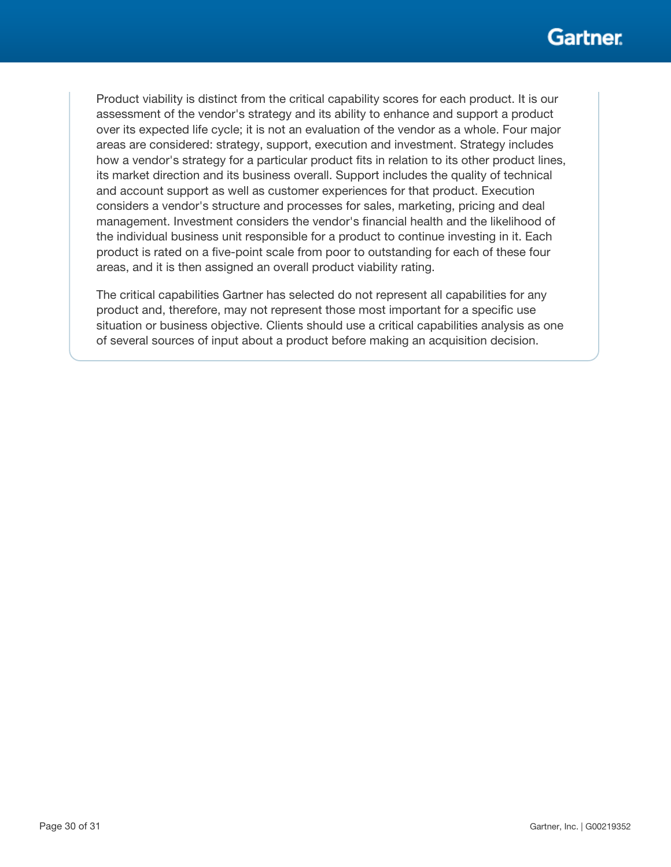Product viability is distinct from the critical capability scores for each product. It is our assessment of the vendor's strategy and its ability to enhance and support a product over its expected life cycle; it is not an evaluation of the vendor as a whole. Four major areas are considered: strategy, support, execution and investment. Strategy includes how a vendor's strategy for a particular product fits in relation to its other product lines, its market direction and its business overall. Support includes the quality of technical and account support as well as customer experiences for that product. Execution considers a vendor's structure and processes for sales, marketing, pricing and deal management. Investment considers the vendor's financial health and the likelihood of the individual business unit responsible for a product to continue investing in it. Each product is rated on a five-point scale from poor to outstanding for each of these four areas, and it is then assigned an overall product viability rating.

The critical capabilities Gartner has selected do not represent all capabilities for any product and, therefore, may not represent those most important for a specific use situation or business objective. Clients should use a critical capabilities analysis as one of several sources of input about a product before making an acquisition decision.